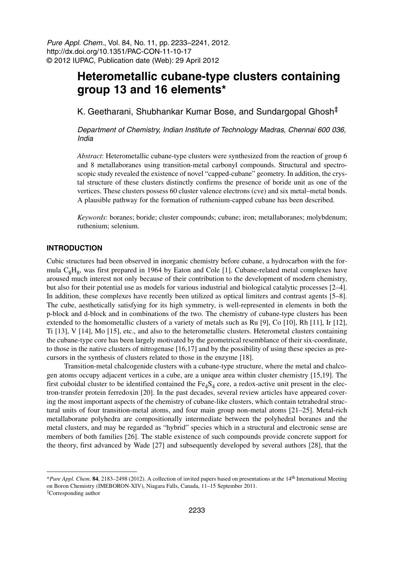Pure Appl. Chem., Vol. 84, No. 11, pp. 2233–2241, 2012. http://dx.doi.org/10.1351/PAC-CON-11-10-17 © 2012 IUPAC, Publication date (Web): 29 April 2012

# **Heterometallic cubane-type clusters containing group 13 and 16 elements\***

K. Geetharani, Shubhankar Kumar Bose, and Sundargopal Ghosh‡

Department of Chemistry, Indian Institute of Technology Madras, Chennai 600 036, India

*Abstract*: Heterometallic cubane-type clusters were synthesized from the reaction of group 6 and 8 metallaboranes using transition-metal carbonyl compounds. Structural and spectroscopic study revealed the existence of novel "capped-cubane" geometry. In addition, the crystal structure of these clusters distinctly confirms the presence of boride unit as one of the vertices. These clusters possess 60 cluster valence electrons (cve) and six metal–metal bonds. A plausible pathway for the formation of ruthenium-capped cubane has been described.

*Keywords*: boranes; boride; cluster compounds; cubane; iron; metallaboranes; molybdenum; ruthenium; selenium.

#### **INTRODUCTION**

Cubic structures had been observed in inorganic chemistry before cubane, a hydrocarbon with the formula  $C_8H_8$ , was first prepared in 1964 by Eaton and Cole [1]. Cubane-related metal complexes have aroused much interest not only because of their contribution to the development of modern chemistry, but also for their potential use as models for various industrial and biological catalytic processes [2–4]. In addition, these complexes have recently been utilized as optical limiters and contrast agents [5–8]. The cube, aesthetically satisfying for its high symmetry, is well-represented in elements in both the p-block and d-block and in combinations of the two. The chemistry of cubane-type clusters has been extended to the homometallic clusters of a variety of metals such as Ru [9], Co [10], Rh [11], Ir [12], Ti [13], V [14], Mo [15], etc., and also to the heterometallic clusters. Heterometal clusters containing the cubane-type core has been largely motivated by the geometrical resemblance of their six-coordinate, to those in the native clusters of nitrogenase [16,17] and by the possibility of using these species as precursors in the synthesis of clusters related to those in the enzyme [18].

Transition-metal chalcogenide clusters with a cubane-type structure, where the metal and chalcogen atoms occupy adjacent vertices in a cube, are a unique area within cluster chemistry [15,19]. The first cuboidal cluster to be identified contained the  $Fe<sub>4</sub>S<sub>4</sub>$  core, a redox-active unit present in the electron-transfer protein ferredoxin [20]. In the past decades, several review articles have appeared covering the most important aspects of the chemistry of cubane-like clusters, which contain tetrahedral structural units of four transition-metal atoms, and four main group non-metal atoms [21–25]. Metal-rich metallaborane polyhedra are compositionally intermediate between the polyhedral boranes and the metal clusters, and may be regarded as "hybrid" species which in a structural and electronic sense are members of both families [26]. The stable existence of such compounds provide concrete support for the theory, first advanced by Wade [27] and subsequently developed by several authors [28], that the

<sup>\*</sup>*Pure Appl. Chem*. **84**, 2183–2498 (2012). A collection of invited papers based on presentations at the 14th International Meeting on Boron Chemistry (IMEBORON-XIV), Niagara Falls, Canada, 11–15 September 2011.

<sup>‡</sup>Corresponding author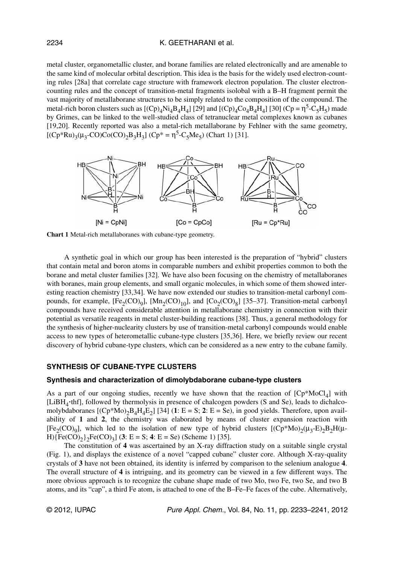#### K. GEETHARANI et al.

metal cluster, organometallic cluster, and borane families are related electronically and are amenable to the same kind of molecular orbital description. This idea is the basis for the widely used electron-counting rules [28a] that correlate cage structure with framework electron population. The cluster electroncounting rules and the concept of transition-metal fragments isolobal with a B–H fragment permit the vast majority of metallaborane structures to be simply related to the composition of the compound. The metal-rich boron clusters such as  $[(Cp)_4Ni_4B_4H_4]$  [29] and  $[(Cp)_4Co_4B_4H_4]$  [30]  $(Cp = \eta^5-C_5H_5)$  made by Grimes, can be linked to the well-studied class of tetranuclear metal complexes known as cubanes [19,20]. Recently reported was also a metal-rich metallaborane by Fehlner with the same geometry,  $[(Cp*Ru)<sub>3</sub>(\mu<sub>3</sub>-CO)Co(CO)<sub>2</sub>B<sub>3</sub>H<sub>3</sub>] (Cp* = \eta<sup>5</sup>-C<sub>5</sub>Me<sub>5</sub>) (Chart 1) [31].$ 



**Chart 1** Metal-rich metallaboranes with cubane-type geometry.

A synthetic goal in which our group has been interested is the preparation of "hybrid" clusters that contain metal and boron atoms in comparable numbers and exhibit properties common to both the borane and metal cluster families [32]. We have also been focusing on the chemistry of metallaboranes with boranes, main group elements, and small organic molecules, in which some of them showed interesting reaction chemistry [33,34]. We have now extended our studies to transition-metal carbonyl compounds, for example,  $[Fe_2(CO)_9]$ ,  $[Mn_2(CO)_{10}]$ , and  $[Co_2(CO)_8]$  [35–37]. Transition-metal carbonyl compounds have received considerable attention in metallaborane chemistry in connection with their potential as versatile reagents in metal cluster-building reactions [38]. Thus, a general methodology for the synthesis of higher-nuclearity clusters by use of transition-metal carbonyl compounds would enable access to new types of heterometallic cubane-type clusters [35,36]. Here, we briefly review our recent discovery of hybrid cubane-type clusters, which can be considered as a new entry to the cubane family.

### **SYNTHESIS OF CUBANE-TYPE CLUSTERS**

#### **Synthesis and characterization of dimolybdaborane cubane-type clusters**

As a part of our ongoing studies, recently we have shown that the reaction of  $[Cp*MoCl<sub>4</sub>]$  with [LiBH<sub>4</sub>·thf], followed by thermolysis in presence of chalcogen powders (S and Se), leads to dichalcomolybdaboranes  $[(Cp * Mo)<sub>2</sub>B<sub>4</sub>H<sub>4</sub>E<sub>2</sub>]$  [34] (1: E = S; 2: E = Se), in good yields. Therefore, upon availability of **1** and **2**, the chemistry was elaborated by means of cluster expansion reaction with [Fe<sub>2</sub>(CO)<sub>9</sub>], which led to the isolation of new type of hybrid clusters  $[(Cp*Mo)_2(\mu_3-E)_2B_2H(\mu H$ }{Fe(CO)<sub>2</sub>}<sub>2</sub>Fe(CO)<sub>3</sub>] (**3**: E = S; **4**: E = Se) (Scheme 1) [35].

The constitution of **4** was ascertained by an X-ray diffraction study on a suitable single crystal (Fig. 1), and displays the existence of a novel "capped cubane" cluster core. Although X-ray-quality crystals of **3** have not been obtained, its identity is inferred by comparison to the selenium analogue **4**. The overall structure of **4** is intriguing, and its geometry can be viewed in a few different ways. The more obvious approach is to recognize the cubane shape made of two Mo, two Fe, two Se, and two B atoms, and its "cap", a third Fe atom, is attached to one of the B–Fe–Fe faces of the cube. Alternatively,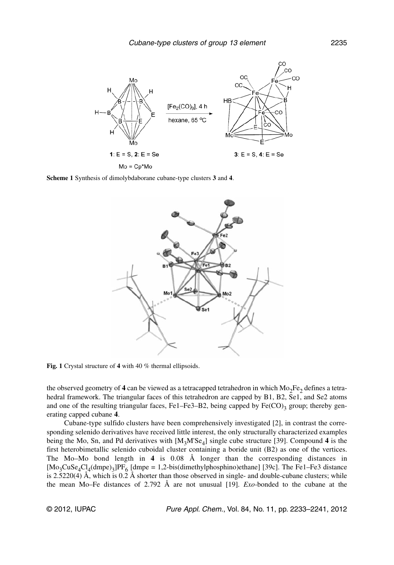

**Scheme 1** Synthesis of dimolybdaborane cubane-type clusters **3** and **4**.



**Fig. 1** Crystal structure of **4** with 40 % thermal ellipsoids.

the observed geometry of  $4$  can be viewed as a tetracapped tetrahedron in which  $Mo_{2}Fe_{2}$  defines a tetrahedral framework. The triangular faces of this tetrahedron are capped by B1, B2, Se1, and Se2 atoms and one of the resulting triangular faces, Fe1–Fe3–B2, being capped by  $Fe(CO)_3$  group; thereby generating capped cubane **4**.

Cubane-type sulfido clusters have been comprehensively investigated [2], in contrast the corresponding selenido derivatives have received little interest, the only structurally characterized examples being the Mo, Sn, and Pd derivatives with  $[M_3M'Se_4]$  single cube structure [39]. Compound 4 is the first heterobimetallic selenido cuboidal cluster containing a boride unit (B2) as one of the vertices. The Mo–Mo bond length in **4** is 0.08 Å longer than the corresponding distances in  $[Mo_3CuSe_4Cl_4(dmpe)_3]PF_6[dmpe = 1,2-bis(dimethylphosphino)ethane]$  [39c]. The Fe1–Fe3 distance is 2.5220(4) Å, which is  $0.2 \text{ Å}$  shorter than those observed in single- and double-cubane clusters; while the mean Mo–Fe distances of 2.792 Å are not unusual [19]. *Exo-*bonded to the cubane at the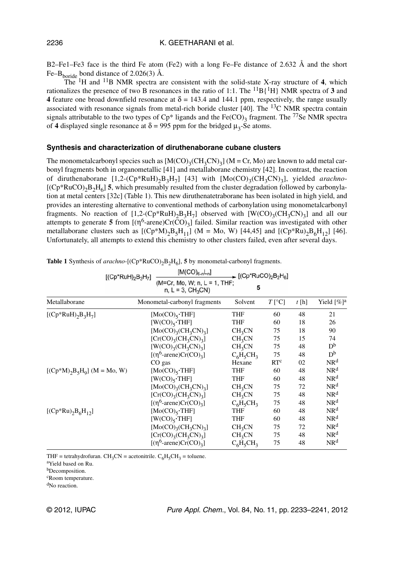B2–Fe1–Fe3 face is the third Fe atom (Fe2) with a long Fe–Fe distance of 2.632 Å and the short Fe–B<sub>boride</sub> bond distance of 2.026(3)  $\AA$ .

The 1H and 11B NMR spectra are consistent with the solid-state X-ray structure of **4**, which rationalizes the presence of two B resonances in the ratio of 1:1. The  ${}^{11}B{^1H}$  NMR spectra of 3 and **4** feature one broad downfield resonance at  $\delta = 143.4$  and 144.1 ppm, respectively, the range usually associated with resonance signals from metal-rich boride cluster [40]. The <sup>13</sup>C NMR spectra contain signals attributable to the two types of  $Cp^*$  ligands and the Fe(CO)<sub>3</sub> fragment. The <sup>77</sup>Se NMR spectra of 4 displayed single resonance at  $\delta = 995$  ppm for the bridged  $\mu_3$ -Se atoms.

#### **Synthesis and characterization of diruthenaborane cubane clusters**

The monometalcarbonyl species such as  $[M(CO)_{3}(CH_{3}CN)_{3}]$  (M = Cr, Mo) are known to add metal carbonyl fragments both in organometallic [41] and metallaborane chemistry [42]. In contrast, the reaction of diruthenaborane [1,2-(Cp\*RuH)<sub>2</sub>B<sub>3</sub>H<sub>7</sub>] [43] with [Mo(CO)<sub>3</sub>(CH<sub>3</sub>CN)<sub>3</sub>], yielded *arachno*- $[(Cp*RuCO)<sub>2</sub>B<sub>2</sub>H<sub>6</sub>]$  5, which presumably resulted from the cluster degradation followed by carbonylation at metal centers [32c] (Table 1). This new diruthenatetraborane has been isolated in high yield, and provides an interesting alternative to conventional methods of carbonylation using monometalcarbonyl fragments. No reaction of  $[1,2-(Cp*RuH)_2B_3H_7]$  observed with  $[W(CO)_3(CH_3CN)_3]$  and all our attempts to generate **5** from  $[(\eta^6\text{-}arene)Cr(\tilde{CO})_3]$  failed. Similar reaction was investigated with other metallaborane clusters such as  $[(Cp*M)_2B_5H_{11}]$  (M = Mo, W) [44,45] and  $[(Cp*Ku)_2B_6H_{12}]$  [46]. Unfortunately, all attempts to extend this chemistry to other clusters failed, even after several days.

| $[(Cp*RuH)2B3H7]$                    | $[\mathsf{M}(\mathsf{CO})_{6\text{-}n}\mathsf{L}_n]$ |                    | $\Gamma$ [(Cp*RuCO) <sub>2</sub> B <sub>2</sub> H <sub>6</sub> ]<br>5 |      |                           |
|--------------------------------------|------------------------------------------------------|--------------------|-----------------------------------------------------------------------|------|---------------------------|
|                                      | (M=Cr, Mo, W; n, L = 1, THF;<br>$n, L = 3, CH_3CN$   |                    |                                                                       |      |                           |
| Metallaborane                        | Monometal-carbonyl fragments                         | Solvent            | $T$ [°C]                                                              | t[h] | Yield $[\%]$ <sup>a</sup> |
| [ $(Cp*RuH)$ <sub>2</sub> $B_3H_7$ ] | [ $Mo(CO)_{5}$ ·THF]                                 | <b>THF</b>         | 60                                                                    | 48   | 21                        |
|                                      | $[W(CO)_{5} \cdot THF]$                              |                    | 60                                                                    | 18   | 26                        |
|                                      | [ $Mo(CO)_{3}(CH_{3}CN)_{3}$ ]                       | CH <sub>3</sub> CN | 75                                                                    | 18   | 90                        |
|                                      | $[Cr(CO)_{3}(CH_{3}CN)_{3}]$                         | CH <sub>3</sub> CN | 75                                                                    | 15   | 74                        |
|                                      | $[W(CO)_{3}(CH_{3}CN)_{3}]$                          | CH <sub>3</sub> CN | 75                                                                    | 48   | D <sub>p</sub>            |
|                                      | [ $(\eta^6$ -arene)Cr(CO) <sub>3</sub> ]             | $C_6H_5CH_3$       | 75                                                                    | 48   | D <sub>p</sub>            |
|                                      | CO gas                                               | Hexane             | RT <sup>c</sup>                                                       | 02   | NR <sup>d</sup>           |
| $[(Cp*M)2B5H9]$ (M = Mo, W)          | [ $Mo(CO)_{5}$ ·THF]                                 | <b>THF</b>         | 60                                                                    | 48   | NR <sup>d</sup>           |
|                                      | $[W(CO)_{5} \cdot THF]$                              | THF                | 60                                                                    | 48   | NR <sup>d</sup>           |
|                                      | $[Mo(CO)3(CH3CN)3]$                                  | CH <sub>3</sub> CN | 75                                                                    | 72   | NR <sup>d</sup>           |
|                                      | $[Cr(CO)_{3}(CH_{3}CN)_{3}]$                         | CH <sub>3</sub> CN | 75                                                                    | 48   | NR <sup>d</sup>           |
|                                      | [ $(\eta^6$ -arene)Cr(CO) <sub>3</sub> ]             | $C_6H_5CH_3$       | 75                                                                    | 48   | NR <sup>d</sup>           |
| [ $(Cp*Ru)_{2}B_{6}H_{12}$ ]         | $[Mo(CO)_{5}$ ·THF]                                  | <b>THF</b>         | 60                                                                    | 48   | NR <sup>d</sup>           |
|                                      | $[W(CO)_{5} \cdot THF]$                              | <b>THF</b>         | 60                                                                    | 48   | NR <sup>d</sup>           |
|                                      | $[Mo(CO)3(CH3CN)3]$                                  | CH <sub>3</sub> CN | 75                                                                    | 72   | NR <sup>d</sup>           |
|                                      | $[Cr(CO)_{3}(CH_{3}CN)_{3}]$                         | CH <sub>3</sub> CN | 75                                                                    | 48   | NR <sup>d</sup>           |
|                                      | [ $(\eta^6$ -arene)Cr(CO) <sub>3</sub> ]             | $C_6H_5CH_3$       | 75                                                                    | 48   | NR <sup>d</sup>           |

**Table 1** Synthesis of  $arachno$ - $[(Cp*RuCO)_2B_2H_6]$ , **5** by monometal-carbonyl fragments.

THF = tetrahydrofuran. CH<sub>3</sub>CN = acetonitrile.  $C_6H_5CH_3$  = toluene.

<sup>a</sup>Yield based on Ru.

<sup>b</sup>Decomposition.

<sup>c</sup>Room temperature.

<sup>d</sup>No reaction.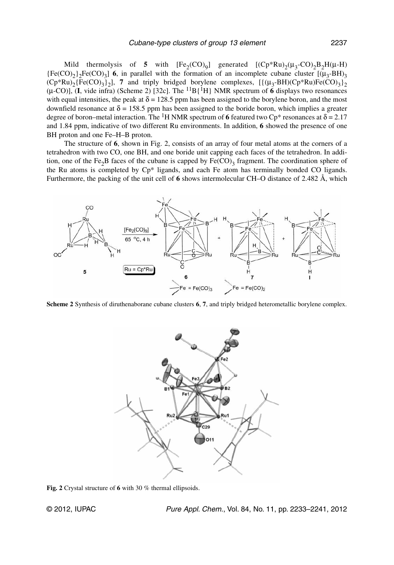Mild thermolysis of **5** with  $[Fe_2(CO)_9]$  generated  $[(Cp*Ru)_2(\mu_3-CO)_2B_2H(\mu-H)$  ${Fe(CO)<sub>2</sub>}$ <sub>2</sub>Fe(CO)<sub>3</sub>] 6, in parallel with the formation of an incomplete cubane cluster  $[(\mu_3-BH)_3]$  $(Cp*Ru)_{2}$ {Fe(CO)<sub>3</sub>}<sub>2</sub>], 7 and triply bridged borylene complexes, [{ $(\mu_3-BH)(Cp*Ru)Fe(CO)_{3}$ }<sub>2</sub>  $(\mu$ -CO)], **(I**, vide infra) (Scheme 2) [32c]. The <sup>11</sup>B{<sup>1</sup>H} NMR spectrum of **6** displays two resonances with equal intensities, the peak at  $\delta = 128.5$  ppm has been assigned to the borylene boron, and the most downfield resonance at  $\delta = 158.5$  ppm has been assigned to the boride boron, which implies a greater degree of boron–metal interaction. The <sup>1</sup>H NMR spectrum of 6 featured two  $Cp^*$  resonances at  $\delta = 2.17$ and 1.84 ppm, indicative of two different Ru environments. In addition, **6** showed the presence of one BH proton and one Fe–H–B proton.

The structure of **6**, shown in Fig. 2, consists of an array of four metal atoms at the corners of a tetrahedron with two CO, one BH, and one boride unit capping each faces of the tetrahedron. In addition, one of the Fe<sub>2</sub>B faces of the cubane is capped by  $Fe(CO)_3$  fragment. The coordination sphere of the Ru atoms is completed by Cp\* ligands, and each Fe atom has terminally bonded CO ligands. Furthermore, the packing of the unit cell of **6** shows intermolecular CH–O distance of 2.482 Å, which



**Scheme 2** Synthesis of diruthenaborane cubane clusters **6**, **7**, and triply bridged heterometallic borylene complex.



**Fig. 2** Crystal structure of **6** with 30 % thermal ellipsoids.

© 2012, IUPAC Pure Appl. Chem., Vol. 84, No. 11, pp. 2233–2241, 2012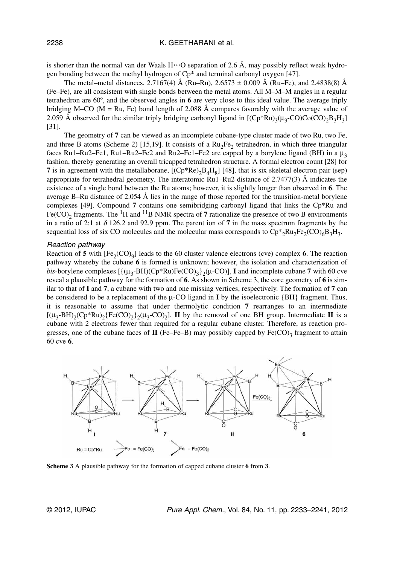is shorter than the normal van der Waals  $H \cdot \cdot \cdot O$  separation of 2.6 Å, may possibly reflect weak hydrogen bonding between the methyl hydrogen of Cp\* and terminal carbonyl oxygen [47].

The metal–metal distances, 2.7167(4) Å (Ru–Ru), 2.6573  $\pm$  0.009 Å (Ru–Fe), and 2.4838(8) Å (Fe–Fe), are all consistent with single bonds between the metal atoms. All M–M–M angles in a regular tetrahedron are 60º, and the observed angles in **6** are very close to this ideal value. The average triply bridging M–CO ( $M = Ru$ , Fe) bond length of 2.088 Å compares favorably with the average value of 2.059 Å observed for the similar triply bridging carbonyl ligand in  $[(Cp*Ru)_{3}(\mu_{3}-CO)Co(CO)_{2}B_{3}H_{3}]$ [31].

The geometry of **7** can be viewed as an incomplete cubane-type cluster made of two Ru, two Fe, and three B atoms (Scheme 2) [15,19]. It consists of a  $Ru_2Fe_2$  tetrahedron, in which three triangular faces Ru1–Ru2–Fe1, Ru1–Ru2–Fe2 and Ru2–Fe1–Fe2 are capped by a borylene ligand (BH) in a  $\mu_3$ fashion, thereby generating an overall tricapped tetrahedron structure. A formal electron count [28] for **7** is in agreement with the metallaborane,  $[(Cp*Re)_2B_4H_8]$  [48], that is six skeletal electron pair (sep) appropriate for tetrahedral geometry. The interatomic Ru1–Ru2 distance of 2.7477(3) Å indicates the existence of a single bond between the Ru atoms; however, it is slightly longer than observed in **6**. The average B–Ru distance of 2.054 Å lies in the range of those reported for the transition-metal borylene complexes [49]. Compound **7** contains one semibridging carbonyl ligand that links the Cp\*Ru and Fe(CO)<sub>2</sub> fragments. The <sup>1</sup>H and <sup>11</sup>B NMR spectra of 7 rationalize the presence of two B environments in a ratio of 2:1 at δ 126.2 and 92.9 ppm. The parent ion of **7** in the mass spectrum fragments by the sequential loss of six CO molecules and the molecular mass corresponds to  $\rm Cp^*_{2}Ru_{2}Fe_{2}(CO)_{6}B_{3}H_{3}$ .

#### Reaction pathway

Reaction of 5 with  $[Fe_2(CO)_9]$  leads to the 60 cluster valence electrons (cve) complex 6. The reaction pathway whereby the cubane **6** is formed is unknown; however, the isolation and characterization of *bis*-borylene complexes  $\left[\frac{\mu_3 - BH}{Cp^*Ru}\right]$   $\left[\text{E}(CO)_{3}\right]_2$  ( $\mu$ -CO)], **I** and incomplete cubane **7** with 60 cve reveal a plausible pathway for the formation of **6**. As shown in Scheme 3, the core geometry of **6** is similar to that of **I** and **7**, a cubane with two and one missing vertices, respectively. The formation of **7** can be considered to be a replacement of the µ-CO ligand in **I** by the isoelectronic {BH} fragment. Thus, it is reasonable to assume that under thermolytic condition **7** rearranges to an intermediate  $[(\mu_3 - BH)_2(Cp*Ru)_2\{Fe(CO)_2\}_2(\mu_3 - CO)_2]$ , **II** by the removal of one BH group. Intermediate **II** is a cubane with 2 electrons fewer than required for a regular cubane cluster. Therefore, as reaction progresses, one of the cubane faces of  $II$  (Fe–Fe–B) may possibly capped by  $Fe(CO)$ <sub>3</sub> fragment to attain 60 cve **6**.



**Scheme 3** A plausible pathway for the formation of capped cubane cluster **6** from **3**.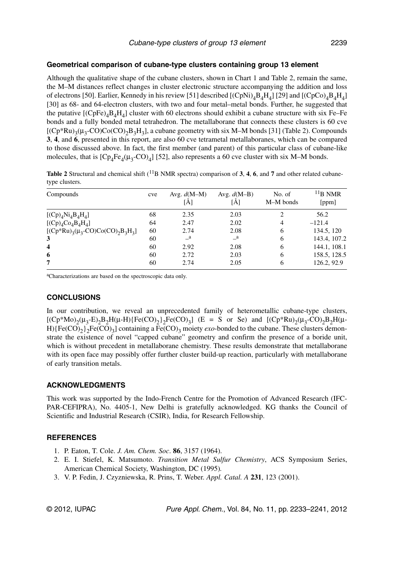### **Geometrical comparison of cubane-type clusters containing group 13 element**

Although the qualitative shape of the cubane clusters, shown in Chart 1 and Table 2, remain the same, the M–M distances reflect changes in cluster electronic structure accompanying the addition and loss of electrons [50]. Earlier, Kennedy in his review [51] described  $[(CpNi)<sub>4</sub>B<sub>4</sub>H<sub>4</sub>]$  [29] and  $[(CpCo)<sub>4</sub>B<sub>4</sub>H<sub>4</sub>]$ [30] as 68- and 64-electron clusters, with two and four metal–metal bonds. Further, he suggested that the putative  $[(CpFe)_4B_4H_4]$  cluster with 60 electrons should exhibit a cubane structure with six Fe–Fe bonds and a fully bonded metal tetrahedron. The metallaborane that connects these clusters is 60 cve  $[(Cp*Ru)<sub>3</sub>(\mu<sub>3</sub>-CO)Co(CO)<sub>2</sub>B<sub>3</sub>H<sub>3</sub>]$ , a cubane geometry with six M–M bonds [31] (Table 2). Compounds **3**, **4**, and **6**, presented in this report, are also 60 cve tetrametal metallaboranes, which can be compared to those discussed above. In fact, the first member (and parent) of this particular class of cubane-like molecules, that is  $[Cp_4Fe_4(\mu_3-CO)_4]$  [52], also represents a 60 cve cluster with six M–M bonds.

Table 2 Structural and chemical shift (<sup>11</sup>B NMR spectra) comparison of 3, 4, 6, and 7 and other related cubanetype clusters.

| Compounds                                         | cve | Avg. $d(M-M)$<br>[A] | Avg. $d(M-B)$<br>[Å] | No. of<br>M-M bonds | $11B$ NMR<br>[ppm] |
|---------------------------------------------------|-----|----------------------|----------------------|---------------------|--------------------|
| $[(Cp)4Ni4B4H4]$                                  | 68  | 2.35                 | 2.03                 | 2                   | 56.2               |
| $[(Cp)4Co4B4H4]$                                  | 64  | 2.47                 | 2.02                 | 4                   | $-121.4$           |
| [ $(Cp*Ru)_{3}(\mu_{3}-CO)Co(CO)_{2}B_{3}H_{3}$ ] | 60  | 2.74                 | 2.08                 | 6                   | 134.5, 120         |
| 3                                                 | 60  | $\mathbf{a}$         | $\mathbf{a}$         | 6                   | 143.4, 107.2       |
| $\overline{\mathbf{4}}$                           | 60  | 2.92                 | 2.08                 | 6                   | 144.1, 108.1       |
| 6                                                 | 60  | 2.72                 | 2.03                 | 6                   | 158.5, 128.5       |
| 7                                                 | 60  | 2.74                 | 2.05                 | 6                   | 126.2, 92.9        |

<sup>a</sup>Characterizations are based on the spectroscopic data only.

### **CONCLUSIONS**

In our contribution, we reveal an unprecedented family of heterometallic cubane-type clusters,  $[(Cp*Mo)_{2}(\mu_{3}-E)_{2}B_{2}H(\mu-H) \{Fe(CO)_{2}\}_{2}Fe(CO)_{3}]$  (E = S or Se) and  $[(Cp*Ru)_{2}(\mu_{3}-CO)_{2}B_{2}H(\mu-H)$ H){Fe(CO)<sub>2</sub>}<sub>2</sub>Fe(CO)<sub>3</sub>] containing a Fe(CO)<sub>3</sub> moiety *exo*-bonded to the cubane. These clusters demonstrate the existence of novel "capped cubane" geometry and confirm the presence of a boride unit, which is without precedent in metallaborane chemistry. These results demonstrate that metallaborane with its open face may possibly offer further cluster build-up reaction, particularly with metallaborane of early transition metals.

## **ACKNOWLEDGMENTS**

This work was supported by the Indo-French Centre for the Promotion of Advanced Research (IFC-PAR-CEFIPRA), No. 4405-1, New Delhi is gratefully acknowledged. KG thanks the Council of Scientific and Industrial Research (CSIR), India, for Research Fellowship.

# **REFERENCES**

- 1. P. Eaton, T. Cole. *J. Am. Chem. Soc*. **86**, 3157 (1964).
- 2. E. I. Stiefel, K. Matsumoto. *Transition Metal Sulfur Chemistry*, ACS Symposium Series, American Chemical Society, Washington, DC (1995)*.*
- 3. V. P. Fedin, J. Czyzniewska, R. Prins, T. Weber. *Appl. Catal. A* **231**, 123 (2001).

© 2012, IUPAC Pure Appl. Chem., Vol. 84, No. 11, pp. 2233–2241, 2012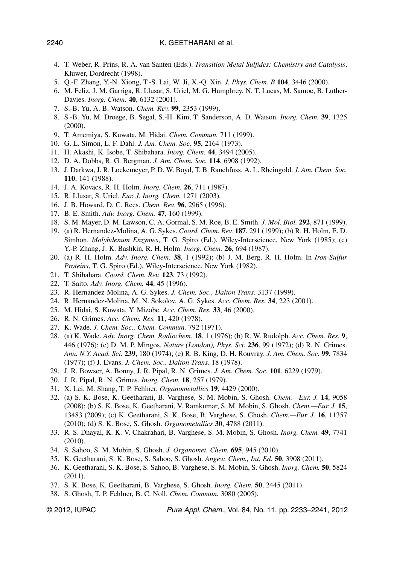- 4. T. Weber, R. Prins, R. A. van Santen (Eds.). *Transition Metal Sulfides: Chemistry and Catalysis*, Kluwer, Dordrecht (1998).
- 5. Q.-F. Zhang, Y.-N. Xiong, T.-S. Lai, W. Ji, X.-Q. Xin. *J. Phys. Chem. B* **104**, 3446 (2000).
- 6. M. Feliz, J. M. Garriga, R. Llusar, S. Uriel, M. G. Humphrey, N. T. Lucas, M. Samoc, B. Luther-Davies. *Inorg. Chem.* **40**, 6132 (2001).
- 7. S.-B. Yu, A. B. Watson. *Chem. Rev.* **99**, 2353 (1999).
- 8. S.-B. Yu, M. Droege, B. Segal, S.-H. Kim, T. Sanderson, A. D. Watson. *Inorg. Chem.* **39**, 1325 (2000).
- 9. T. Amemiya, S. Kuwata, M. Hidai. *Chem. Commun.* 711 (1999).
- 10. G. L. Simon, L. F. Dahl. *J. Am. Chem. Soc.* **95**, 2164 (1973).
- 11. H. Akashi, K. Isobe, T. Shibahara. *Inorg. Chem.* **44**, 3494 (2005).
- 12. D. A. Dobbs, R. G. Bergman. *J. Am. Chem. Soc.* **114**, 6908 (1992).
- 13. J. Darkwa, J. R. Lockemeyer, P. D. W. Boyd, T. B. Rauchfuss, A. L. Rheingold. *J. Am. Chem. Soc.* **110**, 141 (1988).
- 14. J. A. Kovacs, R. H. Holm. *Inorg. Chem.* **26**, 711 (1987).
- 15. R. Llusar, S. Uriel. *Eur. J. Inorg. Chem.* 1271 (2003).
- 16. J. B. Howard, D. C. Rees. *Chem. Rev.* **96**, 2965 (1996).
- 17. B. E. Smith. *Adv. Inorg. Chem.* **47**, 160 (1999).
- 18. S. M. Mayer, D. M. Lawson, C. A. Gormal, S. M. Roe, B. E. Smith. *J. Mol. Biol.* **292**, 871 (1999).
- 19. (a) R. Hernandez-Molina, A. G. Sykes. *Coord. Chem. Rev.* **187**, 291 (1999); (b) R. H. Holm, E. D. Simhon. *Molybdenum Enzymes*, T. G. Spiro (Ed.), Wiley-Interscience, New York (1985); (c) Y.-P. Zhang, J. K. Bashkin, R. H. Holm. *Inorg. Chem.* **26**, 694 (1987).
- 20. (a) R. H. Holm. *Adv. Inorg. Chem.* **38**, 1 (1992); (b) J. M. Berg, R. H. Holm. In *Iron-Sulfur Proteins*, T. G. Spiro (Ed.), Wiley-Interscience, New York (1982).
- 21. T. Shibahara. *Coord. Chem. Rev.* **123**, 73 (1992).
- 22. T. Saito. *Adv. Inorg. Chem.* **44**, 45 (1996).
- 23. R. Hernandez-Molina, A. G. Sykes. *J. Chem. Soc., Dalton Trans.* 3137 (1999).
- 24. R. Hernandez-Molina, M. N. Sokolov, A. G. Sykes. *Acc. Chem. Res.* **34**, 223 (2001).
- 25. M. Hidai, S. Kuwata, Y. Mizobe. *Acc. Chem. Res.* **33**, 46 (2000).
- 26. R. N. Grimes. *Acc. Chem. Res.* **11**, 420 (1978).
- 27. K. Wade. *J. Chem. Soc., Chem. Commun.* 792 (1971).
- 28. (a) K. Wade. *Adv. Inorg. Chem. Radiochem.* **18**, 1 (1976); (b) R. W. Rudolph. *Acc. Chem. Res.* **9**, 446 (1976); (c) D. M. P. Mingos. *Nature (London), Phys. Sci.* **236**, 99 (1972); (d) R. N. Grimes. *Ann. N.Y. Acad. Sci.* **239**, 180 (1974); (e) R. B. King, D. H. Rouvray. *J. Am. Chem. Soc.* **99**, 7834 (1977); (f) J. Evans. *J. Chem. Soc., Dalton Trans.* 18 (1978).
- 29. J. R. Bowser, A. Bonny, J. R. Pipal, R. N. Grimes. *J. Am. Chem. Soc.* **101**, 6229 (1979).
- 30. J. R. Pipal, R. N. Grimes. *Inorg. Chem.* **18**, 257 (1979).
- 31. X. Lei, M. Shang, T. P. Fehlner. *Organometallics* **19**, 4429 (2000).
- 32. (a) S. K. Bose, K. Geetharani, B. Varghese, S. M. Mobin, S. Ghosh. *Chem.—Eur. J.* **14**, 9058 (2008); (b) S. K. Bose, K. Geetharani, V. Ramkumar, S. M. Mobin, S. Ghosh. *Chem.—Eur. J.* **15**, 13483 (2009); (c) K. Geetharani, S. K. Bose, B. Varghese, S. Ghosh. *Chem.—Eur. J.* **16**, 11357 (2010); (d) S. K. Bose, S. Ghosh. *Organometallics* **30**, 4788 (2011).
- 33. R. S. Dhayal, K. K. V. Chakrahari, B. Varghese, S. M. Mobin, S. Ghosh. *Inorg. Chem.* **49**, 7741 (2010).
- 34. S. Sahoo, S. M. Mobin, S. Ghosh. *J. Organomet. Chem.* **695**, 945 (2010).
- 35. K. Geetharani, S. K. Bose, S. Sahoo, S. Ghosh. *Angew. Chem., Int. Ed.* **50**, 3908 (2011).
- 36. K. Geetharani, S. K. Bose, S. Sahoo, B. Varghese, S. M. Mobin, S. Ghosh. *Inorg. Chem.* **50**, 5824 (2011).
- 37. S. K. Bose, K. Geetharani, B. Varghese, S. Ghosh. *Inorg. Chem.* **50**, 2445 (2011).
- 38. S. Ghosh, T. P. Fehlner, B. C. Noll. *Chem. Commun.* 3080 (2005).